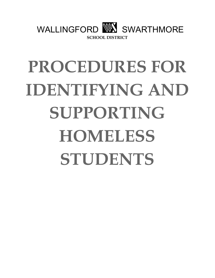

# **PROCEDURES FOR IDENTIFYING AND SUPPORTING HOMELESS STUDENTS**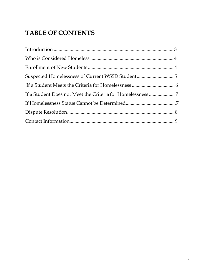# **TABLE OF CONTENTS**

| If a Student Does not Meet the Criteria for Homelessness 7 |  |
|------------------------------------------------------------|--|
|                                                            |  |
|                                                            |  |
|                                                            |  |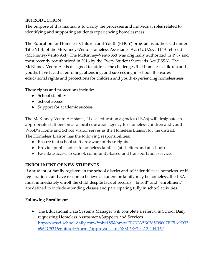# <span id="page-2-0"></span>**INTRODUCTION**

The purpose of this manual is to clarify the processes and individual roles related to identifying and supporting students experiencing homelessness.

The Education for Homeless Children and Youth (EHCY) program is authorized under Title VII-B of the McKinney-Vento Homeless Assistance Act (42 U.S.C. 11431 et seq.) (McKinney-Vento Act). The McKinney-Vento Act was originally authorized in 1987 and most recently reauthorized in 2016 by the Every Student Succeeds Act (ESSA). The McKinney-Vento Act is designed to address the challenges that homeless children and youths have faced in enrolling, attending, and succeeding in school. It ensures educational rights and protections for children and youth experiencing homelessness.

These rights and protections include:

- School stability
- School access
- Support for academic success

The McKinney-Vento Act states, "Local education agencies (LEAs) will designate an appropriate staff person as a local education agency for homeless children and youth." WSSD's Home and School Visitor serves as the Homeless Liaison for the district. The Homeless Liaison has the following responsibilities:

- Ensure that school staff are aware of these rights
- Provide public notice to homeless families (at shelters and at school)
- Facilitate access to school, community-based and transportation service.

#### **ENROLLMENT OF NEW STUDENTS**

If a student or family registers in the school district and self-identifies as homeless, or if registration staff have reason to believe a student or family may be homeless, the LEA must immediately enroll the child despite lack of records. "Enroll" and "enrollment" are defined to include attending classes and participating fully in school activities.

#### **Following Enrollment**

• The Educational Data Systems Manager will complete a referral in School Daily requesting Homeless Assessment/Supports and Services https://wssd.school-daily.com/?mb=185&hmb=EECCA5B6365D9607EE5A9D33 6962C534&gotourl=/forms/approvals.cfm?&MPR=204.13.204.162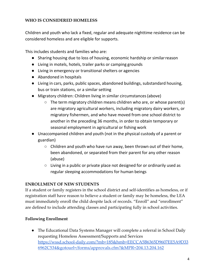## <span id="page-3-0"></span>**WHO IS CONSIDERED HOMELESS**

Children and youth who lack a fixed, regular and adequate nighttime residence can be considered homeless and are eligible for supports.

This includes students and families who are:

- Sharing housing due to loss of housing, economic hardship or similarreason
- Living in motels, hotels, trailer parks or camping grounds
- Living in emergency or transitional shelters or agencies
- Abandoned in hospitals
- Living in cars, parks, public spaces, abandoned buildings, substandard housing, bus or train stations, or a similar setting
- Migratory children: Children living in similar circumstances(above)
	- The term migratory children means children who are, or whose parent(s) are migratory agricultural workers, including migratory dairy workers, or migratory fishermen, and who have moved from one school district to another in the preceding 36 months, in order to obtain temporary or seasonal employment in agricultural or fishing work
- Unaccompanied children and youth (not in the physical custody of a parent or guardian)
	- $\circ$  Children and youth who have run away, been thrown out of their home, been abandoned, or separated from their parent for any other reason (abuse)
	- Living in a public or private place not designed for or ordinarily used as regular sleeping accommodations for human beings

#### <span id="page-3-1"></span>**ENROLLMENT OF NEW STUDENTS**

If a student or family registers in the school district and self-identifies as homeless, or if registration staff have reason to believe a student or family may be homeless, the LEA must immediately enroll the child despite lack of records. "Enroll" and "enrollment" are defined to include attending classes and participating fully in school activities.

#### **Following Enrollment**

● The Educational Data Systems Manager will complete a referral in School Daily requesting Homeless Assessment/Supports and Services https://wssd.school-daily.com/?mb=185&hmb=EECCA5B6365D9607EE5A9D33 6962C534&gotourl=/forms/approvals.cfm?&MPR=204.13.204.162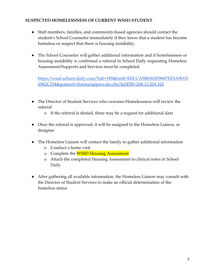#### <span id="page-4-0"></span>**SUSPECTED HOMELESSNESS OF CURRENT WSSD STUDENT**

- Staff members, families, and community-based agencies should contact the student's School Counselor immediately if they know that a student has become homeless or suspect that there is housing instability.
- The School Counselor will gather additional information and if homelessness or housing instability is confirmed a referral in School Daily requesting Homeless Assessment/Supports and Services must be completed.

https://wssd.school-daily.com/?mb=185&hmb=EECCA5B6365D9607EE5A9D33 6962C534&gotourl=/forms/approvals.cfm?&MPR=204.13.204.162

- The Director of Student Services who oversees Homelessness will review the referral
	- o If the referral is denied, there may be a request for additional data
- Once the referral is approved, it will be assigned to the Homeless Liaison, or designee
- The Homeless Liaison will contact the family to gather additional information
	- o Conduct a home visit
	- o Complete the WSSD Housing Assessment
	- o Attach the completed Housing Assessment to clinical notes in School Daily
- After gathering all available information, the Homeless Liaison may consult with the Director of Student Services to make an official determination of the homeless status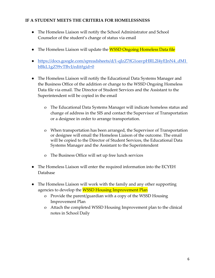#### <span id="page-5-0"></span>**IF A STUDENT MEETS THE CRITERIA FOR HOMELESSNESS**

- The Homeless Liaison will notify the School Administrator and School Counselor of the student's change of status via email
- The Homeless Liaison will update the **WSSD Ongoing Homeless Data file**
- [https://docs.google.com/spreadsheets/d/1-qIzZ7fG1oavpHRL2I4yEJnN4\\_dM1](https://docs.google.com/spreadsheets/d/1-qIzZ7fG1oavpHRL2I4yEJnN4_dM1bBkL1gZ59vTBvI/edit#gid%3D0) [bBkL1gZ59vTBvI/edit#gid=0](https://docs.google.com/spreadsheets/d/1-qIzZ7fG1oavpHRL2I4yEJnN4_dM1bBkL1gZ59vTBvI/edit#gid%3D0)
- The Homeless Liaison will notify the Educational Data Systems Manager and the Business Office of the addition or change to the WSSD Ongoing Homeless Data file via email. The Director of Student Services and the Assistant to the Superintendent will be copied in the email
	- o The Educational Data Systems Manager will indicate homeless status and change of address in the SIS and contact the Supervisor of Transportation or a designee in order to arrange transportation.
	- o When transportation has been arranged, the Supervisor of Transportation or designee will email the Homeless Liaison of the outcome. The email will be copied to the Director of Student Services, the Educational Data Systems Manager and the Assistant to the Superintendent
	- o The Business Office will set up free lunch services
- The Homeless Liaison will enter the required information into the ECYEH Database
- The Homeless Liaison will work with the family and any other supporting agencies to develop the **WSSD Housing Improvement Plan** 
	- o Provide the parent/guardian with a copy of the WSSD Housing Improvement Plan
	- o Attach the completed WSSD Housing Improvement plan to the clinical notes in School Daily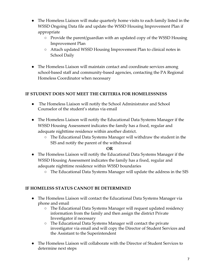- The Homeless Liaison will make quarterly home visits to each family listed in the WSSD Ongoing Data file and update the WSSD Housing Improvement Plan if appropriate
	- Provide the parent/guardian with an updated copy of the WSSD Housing Improvement Plan
	- Attach updated WSSD Housing Improvement Plan to clinical notes in School Daily
- The Homeless Liaison will maintain contact and coordinate services among school-based staff and community-based agencies, contacting the PA Regional Homeless Coordinator when necessary

# **IF STUDENT DOES NOT MEET THE CRITERIA FOR HOMELESSNESS**

- The Homeless Liaison will notify the School Administrator and School Counselor of the student's status via email
- The Homeless Liaison will notify the Educational Data Systems Manager if the WSSD Housing Assessment indicates the family has a fixed, regular and adequate nighttime residence within another district.
	- The Educational Data Systems Manager will withdraw the student in the SIS and notify the parent of the withdrawal

#### **OR**

- The Homeless Liaison will notify the Educational Data Systems Manager if the WSSD Housing Assessment indicates the family has a fixed, regular and adequate nighttime residence within WSSD boundaries
	- The Educational Data Systems Manager will update the address in the SIS

#### **IF HOMELESS STATUS CANNOT BE DETERMINED**

- The Homeless Liaison will contact the Educational Data Systems Manager via phone and email
	- The Educational Data Systems Manager will request updated residency information from the family and then assign the district Private Investigator if necessary
	- The Educational Data Systems Manager will contact the private investigator via email and will copy the Director of Student Services and the Assistant to the Superintendent
- The Homeless Liaison will collaborate with the Director of Student Services to determine next steps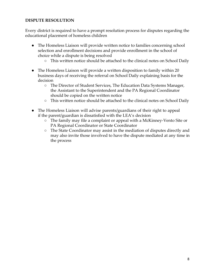#### <span id="page-7-0"></span>**DISPUTE RESOLUTION**

Every district is required to have a prompt resolution process for disputes regarding the educational placement of homeless children

- The Homeless Liaison will provide written notice to families concerning school selection and enrollment decisions and provide enrollment in the school of choice while a dispute is being resolved
	- This written notice should be attached to the clinical notes on School Daily
- The Homeless Liaison will provide a written disposition to family within 20 business days of receiving the referral on School Daily explaining basis for the decision
	- The Director of Student Services, The Education Data Systems Manager, the Assistant to the Superintendent and the PA Regional Coordinator should be copied on the written notice
	- This written notice should be attached to the clinical notes on School Daily
- The Homeless Liaison will advise parents/guardians of their right to appeal if the parent/guardian is dissatisfied with the LEA's decision
	- The family may file a complaint or appeal with a McKinney-Vento Site or PA Regional Coordinator or State Coordinator
	- The State Coordinator may assist in the mediation of disputes directly and may also invite those involved to have the dispute mediated at any time in the process